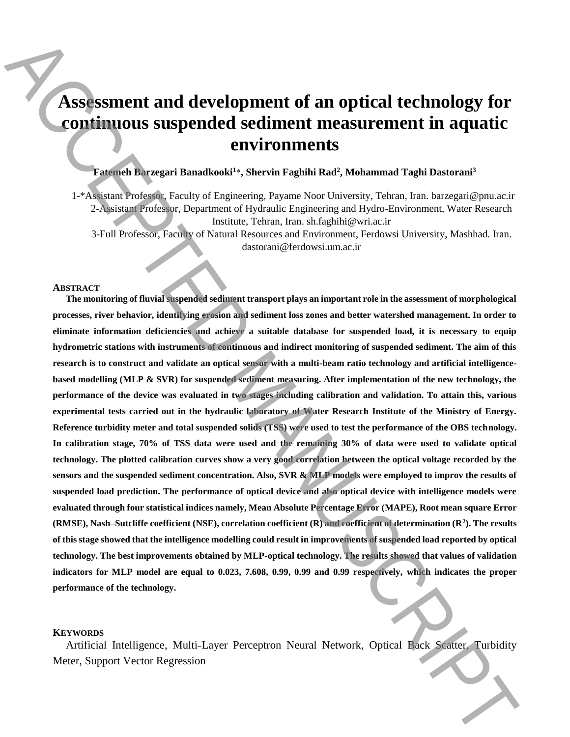# **Assessment and development of an optical technology for continuous suspended sediment measurement in aquatic environments**

## **Fatemeh Barzegari Banadkooki<sup>1</sup>** \***, Shervin Faghihi Rad<sup>2</sup> , Mohammad Taghi Dastorani<sup>3</sup>**

1-\*Assistant Professor, Faculty of Engineering, Payame Noor University, Tehran, Iran. barzegari@pnu.ac.ir 2-Assistant Professor, Department of Hydraulic Engineering and Hydro-Environment, Water Research Institute, Tehran, Iran. sh.faghihi@wri.ac.ir

3-Full Professor, Faculty of Natural Resources and Environment, Ferdowsi University, Mashhad. Iran. dastorani@ferdowsi.um.ac.ir

#### **ABSTRACT**

**The monitoring of fluvial suspended sediment transport plays an important role in the assessment of morphological processes, river behavior, identifying erosion and sediment loss zones and better watershed management. In order to eliminate information deficiencies and achieve a suitable database for suspended load, it is necessary to equip hydrometric stations with instruments of continuous and indirect monitoring of suspended sediment. The aim of this research is to construct and validate an optical sensor with a multi-beam ratio technology and artificial intelligencebased modelling (MLP & SVR) for suspended sediment measuring. After implementation of the new technology, the performance of the device was evaluated in two stages including calibration and validation. To attain this, various experimental tests carried out in the hydraulic laboratory of Water Research Institute of the Ministry of Energy. Reference turbidity meter and total suspended solids (TSS) were used to test the performance of the OBS technology. In calibration stage, 70% of TSS data were used and the remaining 30% of data were used to validate optical technology. The plotted calibration curves show a very good correlation between the optical voltage recorded by the sensors and the suspended sediment concentration. Also, SVR & MLP models were employed to improv the results of suspended load prediction. The performance of optical device and also optical device with intelligence models were evaluated through four statistical indices namely, Mean Absolute Percentage Error (MAPE), Root mean square Error (RMSE), Nash–Sutcliffe coefficient (NSE), correlation coefficient (R) and coefficient of determination (R<sup>2</sup> ). The results of this stage showed that the intelligence modelling could result in improvements of suspended load reported by optical technology. The best improvements obtained by MLP-optical technology. The results showed that values of validation indicators for MLP model are equal to 0.023, 7.608, 0.99, 0.99 and 0.99 respectively, which indicates the proper performance of the technology. EXERCT ACCE AND ASSESSMED ACCE AND ACCEPTED ACCEPTED ACCEPTED ACCEPTED ACCEPTED ACCEPTED ACCEPTED ACCEPTED ACCEPTED ACCEPTED ACCEPTED ACCEPTED ACCEPTED ACCEPTED ACCEPTED ACCEPTED ACCEPTED ACCEPTED ACCEPTED ACCEPTED ACCEP** 

#### **KEYWORDS**

Artificial Intelligence, Multi-Layer Perceptron Neural Network, Optical Back Scatter, Turbidity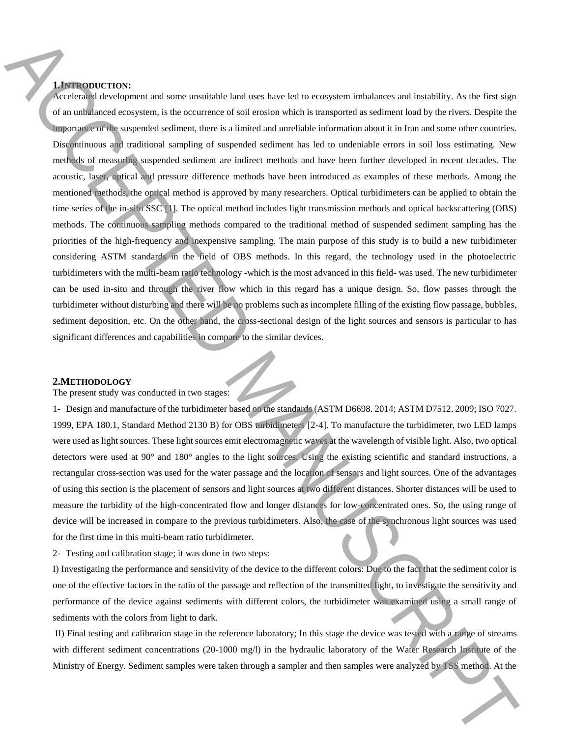### **1.INTRODUCTION:**

Accelerated development and some unsuitable land uses have led to ecosystem imbalances and instability. As the first sign of an unbalanced ecosystem, is the occurrence of soil erosion which is transported as sediment load by the rivers. Despite the importance of the suspended sediment, there is a limited and unreliable information about it in Iran and some other countries. Discontinuous and traditional sampling of suspended sediment has led to undeniable errors in soil loss estimating. New methods of measuring suspended sediment are indirect methods and have been further developed in recent decades. The acoustic, laser, optical and pressure difference methods have been introduced as examples of these methods. Among the mentioned methods, the optical method is approved by many researchers. Optical turbidimeters can be applied to obtain the time series of the in-situ SSC [1]. The optical method includes light transmission methods and optical backscattering (OBS) methods. The continuous sampling methods compared to the traditional method of suspended sediment sampling has the priorities of the high-frequency and inexpensive sampling. The main purpose of this study is to build a new turbidimeter considering ASTM standards in the field of OBS methods. In this regard, the technology used in the photoelectric turbidimeters with the multi-beam ratio technology -which is the most advanced in this field- was used. The new turbidimeter can be used in-situ and through the river flow which in this regard has a unique design. So, flow passes through the turbidimeter without disturbing and there will be no problems such as incomplete filling of the existing flow passage, bubbles, sediment deposition, etc. On the other hand, the cross-sectional design of the light sources and sensors is particular to has significant differences and capabilities in compare to the similar devices. **MENTION CONSULTER CONSULTER CONSULTER CONSULTER CONSULTER CONSULTER CONSULTER CONSULTER CONSULTER CONSULTER CONSULTER CONSULTER CONSULTER CONSULTER CONSULTER CONSULTER CONSULTER CONSULTER CONSULTER CONSULTER CONSULTER CO** 

#### **2.METHODOLOGY**

#### The present study was conducted in two stages:

1- Design and manufacture of the turbidimeter based on the standards (ASTM D6698. 2014; ASTM D7512. 2009; ISO 7027. 1999, EPA 180.1, Standard Method 2130 B) for OBS turbidimeters [2-4]. To manufacture the turbidimeter, two LED lamps were used as light sources. These light sources emit electromagnetic waves at the wavelength of visible light. Also, two optical detectors were used at 90° and 180° angles to the light sources. Using the existing scientific and standard instructions, a rectangular cross-section was used for the water passage and the location of sensors and light sources. One of the advantages of using this section is the placement of sensors and light sources at two different distances. Shorter distances will be used to measure the turbidity of the high-concentrated flow and longer distances for low-concentrated ones. So, the using range of device will be increased in compare to the previous turbidimeters. Also, the case of the synchronous light sources was used for the first time in this multi-beam ratio turbidimeter.

2- Testing and calibration stage; it was done in two steps:

I) Investigating the performance and sensitivity of the device to the different colors: Due to the fact that the sediment color is one of the effective factors in the ratio of the passage and reflection of the transmitted light, to investigate the sensitivity and performance of the device against sediments with different colors, the turbidimeter was examined using a small range of sediments with the colors from light to dark.

II) Final testing and calibration stage in the reference laboratory; In this stage the device was tested with a range of streams with different sediment concentrations (20-1000 mg/l) in the hydraulic laboratory of the Water Research Institute of the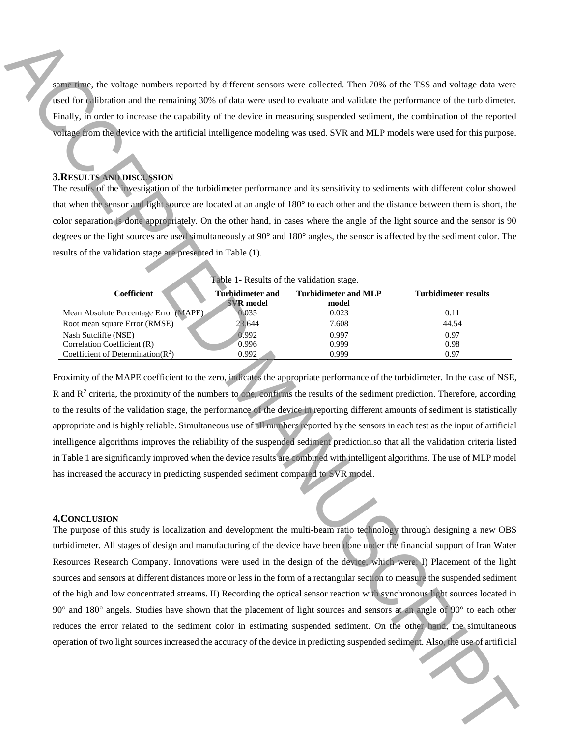same time, the voltage numbers reported by different sensors were collected. Then 70% of the TSS and voltage data were used for calibration and the remaining 30% of data were used to evaluate and validate the performance of the turbidimeter. Finally, in order to increase the capability of the device in measuring suspended sediment, the combination of the reported voltage from the device with the artificial intelligence modeling was used. SVR and MLP models were used for this purpose.

#### **3.RESULTS AND DISCUSSION**

The results of the investigation of the turbidimeter performance and its sensitivity to sediments with different color showed that when the sensor and light source are located at an angle of 180° to each other and the distance between them is short, the color separation is done appropriately. On the other hand, in cases where the angle of the light source and the sensor is 90 degrees or the light sources are used simultaneously at 90° and 180° angles, the sensor is affected by the sediment color. The results of the validation stage are presented in Table (1).

| Table 1- Results of the validation stage. |                         |                             |                      |
|-------------------------------------------|-------------------------|-----------------------------|----------------------|
| <b>Coefficient</b>                        | <b>Turbidimeter and</b> | <b>Turbidimeter and MLP</b> | Turbidimeter results |
|                                           | <b>SVR</b> model        | model                       |                      |
| Mean Absolute Percentage Error (MAPE)     | 0.035                   | 0.023                       | 0.11                 |
| Root mean square Error (RMSE)             | 23.644                  | 7.608                       | 44.54                |
| Nash Sutcliffe (NSE)                      | 0.992                   | 0.997                       | 0.97                 |
| Correlation Coefficient (R)               | 0.996                   | 0.999                       | 0.98                 |
| Coefficient of Determination( $R^2$ )     | 0.992                   | 0.999                       | 0.97                 |

Table 1- Results of the validation stage.

Proximity of the MAPE coefficient to the zero, indicates the appropriate performance of the turbidimeter. In the case of NSE,  $R$  and  $R<sup>2</sup>$  criteria, the proximity of the numbers to one, confirms the results of the sediment prediction. Therefore, according to the results of the validation stage, the performance of the device in reporting different amounts of sediment is statistically appropriate and is highly reliable. Simultaneous use of all numbers reported by the sensors in each test as the input of artificial intelligence algorithms improves the reliability of the suspended sediment prediction.so that all the validation criteria listed in Table 1 are significantly improved when the device results are combined with intelligent algorithms. The use of MLP model has increased the accuracy in predicting suspended sediment compared to SVR model.

#### **4.CONCLUSION**

The purpose of this study is localization and development the multi-beam ratio technology through designing a new OBS turbidimeter. All stages of design and manufacturing of the device have been done under the financial support of Iran Water Resources Research Company. Innovations were used in the design of the device, which were: I) Placement of the light sources and sensors at different distances more or less in the form of a rectangular section to measure the suspended sediment of the high and low concentrated streams. II) Recording the optical sensor reaction with synchronous light sources located in 90° and 180° angels. Studies have shown that the placement of light sources and sensors at an angle of 90° to each other reduces the error related to the sediment color in estimating suspended sediment. On the other hand, the simultaneous **Operation** of the sources increased the device increase that sources increased the accuracy of the accuracy of the accuracy of the accuracy of the accepted sediment. Also, the use of artificial ACCEPTE sources in the sou